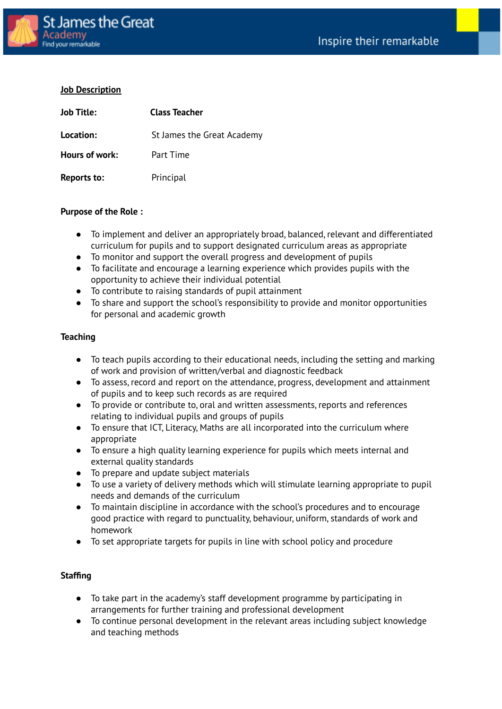

## **Job Description**

| <b>Job Title:</b> | <b>Class Teacher</b>       |  |
|-------------------|----------------------------|--|
| Location:         | St James the Great Academy |  |
| Hours of work:    | Part Time                  |  |
| Reports to:       | Principal                  |  |

## **Purpose of the Role :**

- To implement and deliver an appropriately broad, balanced, relevant and differentiated curriculum for pupils and to support designated curriculum areas as appropriate
- To monitor and support the overall progress and development of pupils
- To facilitate and encourage a learning experience which provides pupils with the opportunity to achieve their individual potential
- To contribute to raising standards of pupil attainment
- To share and support the school's responsibility to provide and monitor opportunities for personal and academic growth

## **Teaching**

- To teach pupils according to their educational needs, including the setting and marking of work and provision of written/verbal and diagnostic feedback
- To assess, record and report on the attendance, progress, development and attainment of pupils and to keep such records as are required
- To provide or contribute to, oral and written assessments, reports and references relating to individual pupils and groups of pupils
- To ensure that ICT, Literacy, Maths are all incorporated into the curriculum where appropriate
- To ensure a high quality learning experience for pupils which meets internal and external quality standards
- To prepare and update subject materials
- To use a variety of delivery methods which will stimulate learning appropriate to pupil needs and demands of the curriculum
- To maintain discipline in accordance with the school's procedures and to encourage good practice with regard to punctuality, behaviour, uniform, standards of work and homework
- To set appropriate targets for pupils in line with school policy and procedure

## **Staffing**

- To take part in the academy's staff development programme by participating in arrangements for further training and professional development
- To continue personal development in the relevant areas including subject knowledge and teaching methods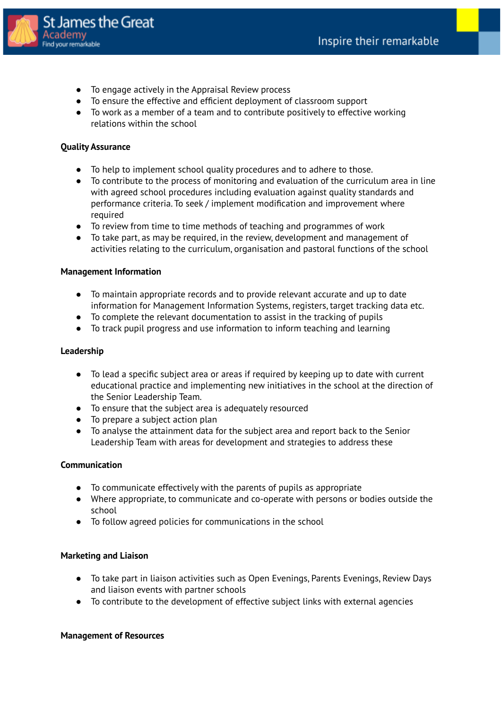

- To engage actively in the Appraisal Review process
- To ensure the effective and efficient deployment of classroom support
- To work as a member of a team and to contribute positively to effective working relations within the school

## **Quality Assurance**

- To help to implement school quality procedures and to adhere to those.
- To contribute to the process of monitoring and evaluation of the curriculum area in line with agreed school procedures including evaluation against quality standards and performance criteria. To seek / implement modification and improvement where required
- To review from time to time methods of teaching and programmes of work
- To take part, as may be required, in the review, development and management of activities relating to the curriculum, organisation and pastoral functions of the school

## **Management Information**

- To maintain appropriate records and to provide relevant accurate and up to date information for Management Information Systems, registers, target tracking data etc.
- To complete the relevant documentation to assist in the tracking of pupils
- To track pupil progress and use information to inform teaching and learning

## **Leadership**

- To lead a specific subject area or areas if required by keeping up to date with current educational practice and implementing new initiatives in the school at the direction of the Senior Leadership Team.
- To ensure that the subject area is adequately resourced
- To prepare a subject action plan
- To analyse the attainment data for the subject area and report back to the Senior Leadership Team with areas for development and strategies to address these

## **Communication**

- To communicate effectively with the parents of pupils as appropriate
- Where appropriate, to communicate and co-operate with persons or bodies outside the school
- To follow agreed policies for communications in the school

## **Marketing and Liaison**

- To take part in liaison activities such as Open Evenings, Parents Evenings, Review Days and liaison events with partner schools
- To contribute to the development of effective subject links with external agencies

#### **Management of Resources**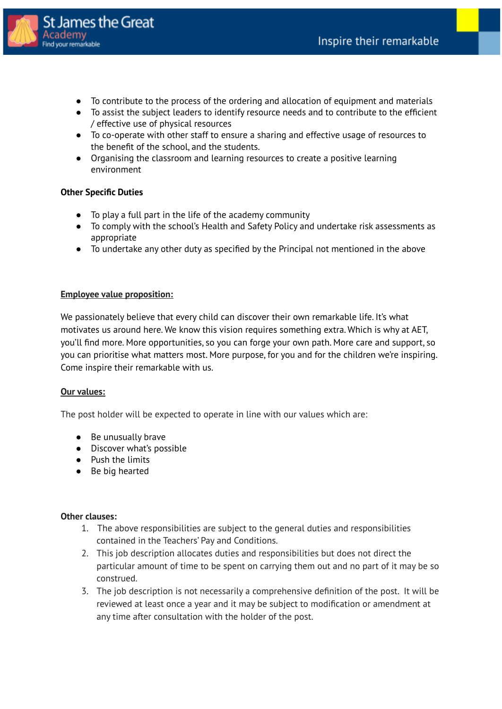

- To contribute to the process of the ordering and allocation of equipment and materials
- To assist the subject leaders to identify resource needs and to contribute to the efficient / effective use of physical resources
- To co-operate with other staff to ensure a sharing and effective usage of resources to the benefit of the school, and the students.
- Organising the classroom and learning resources to create a positive learning environment

## **Other Specific Duties**

- To play a full part in the life of the academy community
- To comply with the school's Health and Safety Policy and undertake risk assessments as appropriate
- To undertake any other duty as specified by the Principal not mentioned in the above

## **Employee value proposition:**

We passionately believe that every child can discover their own remarkable life. It's what motivates us around here. We know this vision requires something extra. Which is why at AET, you'll find more. More opportunities, so you can forge your own path. More care and support, so you can prioritise what matters most. More purpose, for you and for the children we're inspiring. Come inspire their remarkable with us.

#### **Our values:**

The post holder will be expected to operate in line with our values which are:

- Be unusually brave
- Discover what's possible
- Push the limits
- Be big hearted

#### **Other clauses:**

- 1. The above responsibilities are subject to the general duties and responsibilities contained in the Teachers' Pay and Conditions.
- 2. This job description allocates duties and responsibilities but does not direct the particular amount of time to be spent on carrying them out and no part of it may be so construed.
- 3. The job description is not necessarily a comprehensive definition of the post. It will be reviewed at least once a year and it may be subject to modification or amendment at any time after consultation with the holder of the post.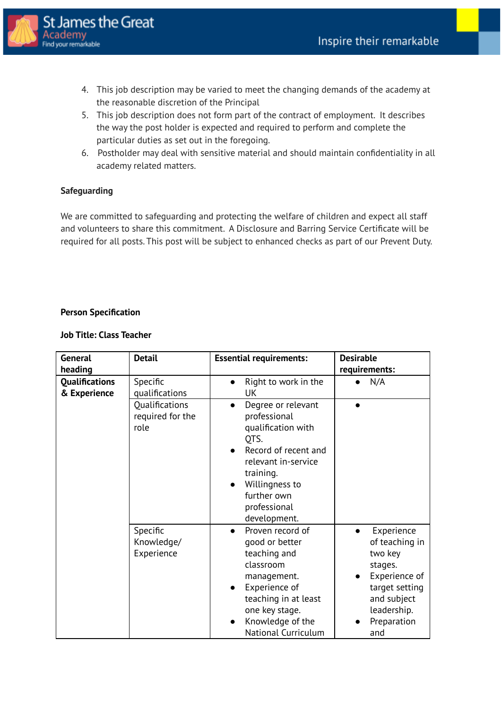

- 4. This job description may be varied to meet the changing demands of the academy at the reasonable discretion of the Principal
- 5. This job description does not form part of the contract of employment. It describes the way the post holder is expected and required to perform and complete the particular duties as set out in the foregoing.
- 6. Postholder may deal with sensitive material and should maintain confidentiality in all academy related matters.

# **Safeguarding**

We are committed to safeguarding and protecting the welfare of children and expect all staff and volunteers to share this commitment. A Disclosure and Barring Service Certificate will be required for all posts. This post will be subject to enhanced checks as part of our Prevent Duty.

## **Person Specification**

## **Job Title: Class Teacher**

| General<br>heading                    | <b>Detail</b>                              | <b>Essential requirements:</b>                                                                                                                                                                             | <b>Desirable</b><br>requirements:                                                                                                                      |
|---------------------------------------|--------------------------------------------|------------------------------------------------------------------------------------------------------------------------------------------------------------------------------------------------------------|--------------------------------------------------------------------------------------------------------------------------------------------------------|
| <b>Qualifications</b><br>& Experience | Specific<br>qualifications                 | Right to work in the<br>UK                                                                                                                                                                                 | N/A                                                                                                                                                    |
|                                       | Qualifications<br>required for the<br>role | Degree or relevant<br>professional<br>qualification with<br>QTS.<br>Record of recent and<br>relevant in-service<br>training.<br>Willingness to<br>$\bullet$<br>further own<br>professional<br>development. |                                                                                                                                                        |
|                                       | Specific<br>Knowledge/<br>Experience       | Proven record of<br>good or better<br>teaching and<br>classroom<br>management.<br>Experience of<br>teaching in at least<br>one key stage.<br>Knowledge of the<br>$\bullet$<br><b>National Curriculum</b>   | Experience<br>$\bullet$<br>of teaching in<br>two key<br>stages.<br>Experience of<br>target setting<br>and subject<br>leadership.<br>Preparation<br>and |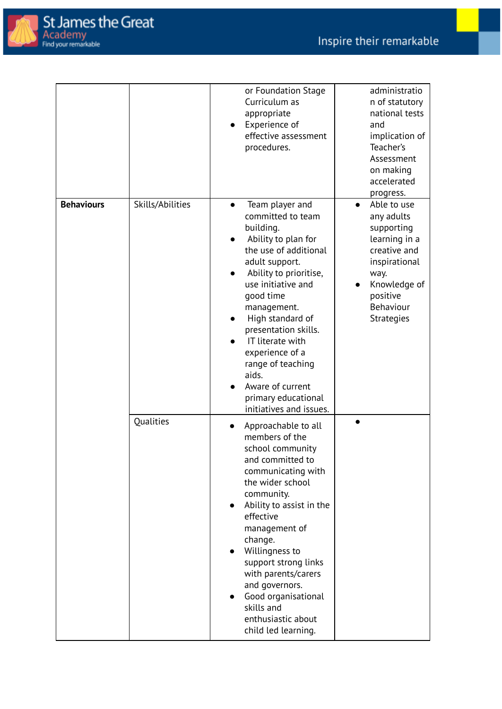

|                   |                  | or Foundation Stage<br>Curriculum as<br>appropriate<br>Experience of<br>$\bullet$<br>effective assessment<br>procedures.                                                                                                                                                                                                                                                                            | administratio<br>n of statutory<br>national tests<br>and<br>implication of<br>Teacher's<br>Assessment<br>on making<br>accelerated<br>progress.                               |
|-------------------|------------------|-----------------------------------------------------------------------------------------------------------------------------------------------------------------------------------------------------------------------------------------------------------------------------------------------------------------------------------------------------------------------------------------------------|------------------------------------------------------------------------------------------------------------------------------------------------------------------------------|
| <b>Behaviours</b> | Skills/Abilities | Team player and<br>$\bullet$<br>committed to team<br>building.<br>Ability to plan for<br>the use of additional<br>adult support.<br>Ability to prioritise,<br>use initiative and<br>good time<br>management.<br>High standard of<br>presentation skills.<br>IT literate with<br>experience of a<br>range of teaching<br>aids.<br>Aware of current<br>primary educational<br>initiatives and issues. | Able to use<br>$\bullet$<br>any adults<br>supporting<br>learning in a<br>creative and<br>inspirational<br>way.<br>Knowledge of<br>positive<br>Behaviour<br><b>Strategies</b> |
|                   | Qualities        | Approachable to all<br>members of the<br>school community<br>and committed to<br>communicating with<br>the wider school<br>community.<br>Ability to assist in the<br>$\bullet$<br>effective<br>management of<br>change.<br>Willingness to<br>support strong links<br>with parents/carers<br>and governors.<br>Good organisational<br>skills and<br>enthusiastic about<br>child led learning.        |                                                                                                                                                                              |